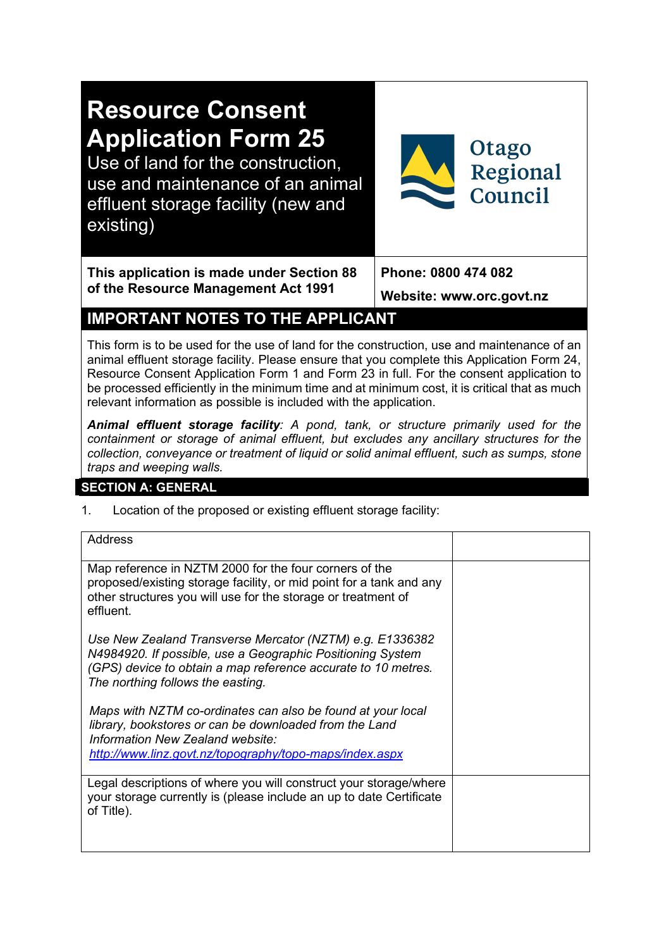# **Resource Consent Application Form 25**

Use of land for the construction, use and maintenance of an animal effluent storage facility (new and existing)



**This application is made under Section 88 of the Resource Management Act 1991**

**Phone: 0800 474 082** 

**Website: www.orc.govt.nz**

# **IMPORTANT NOTES TO THE APPLICANT**

This form is to be used for the use of land for the construction, use and maintenance of an animal effluent storage facility. Please ensure that you complete this Application Form 24, Resource Consent Application Form 1 and Form 23 in full. For the consent application to be processed efficiently in the minimum time and at minimum cost, it is critical that as much relevant information as possible is included with the application.

*Animal effluent storage facility: A pond, tank, or structure primarily used for the containment or storage of animal effluent, but excludes any ancillary structures for the collection, conveyance or treatment of liquid or solid animal effluent, such as sumps, stone traps and weeping walls.*

# **SECTION A: GENERAL**

1. Location of the proposed or existing effluent storage facility:

| <b>Address</b>                                                                                                                                                                                                               |  |
|------------------------------------------------------------------------------------------------------------------------------------------------------------------------------------------------------------------------------|--|
| Map reference in NZTM 2000 for the four corners of the<br>proposed/existing storage facility, or mid point for a tank and any<br>other structures you will use for the storage or treatment of<br>effluent.                  |  |
| Use New Zealand Transverse Mercator (NZTM) e.g. E1336382<br>N4984920. If possible, use a Geographic Positioning System<br>(GPS) device to obtain a map reference accurate to 10 metres.<br>The northing follows the easting. |  |
| Maps with NZTM co-ordinates can also be found at your local<br>library, bookstores or can be downloaded from the Land<br>Information New Zealand website:<br>http://www.linz.govt.nz/topography/topo-maps/index.aspx         |  |
| Legal descriptions of where you will construct your storage/where<br>your storage currently is (please include an up to date Certificate<br>of Title).                                                                       |  |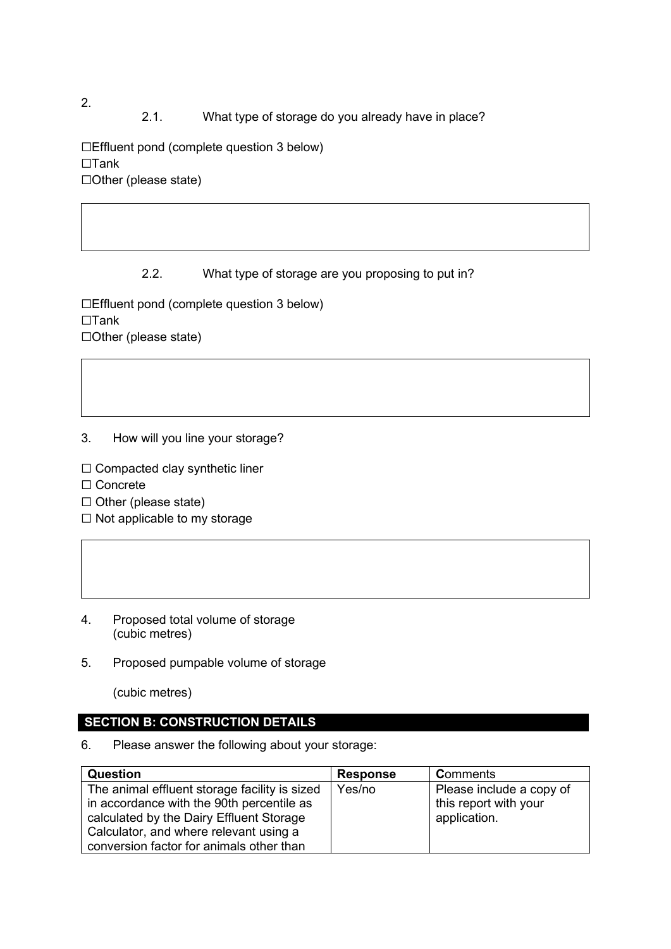2.1. What type of storage do you already have in place?

☐Effluent pond (complete question 3 below) ☐Tank ☐Other (please state)

#### 2.2. What type of storage are you proposing to put in?

☐Effluent pond (complete question 3 below) ☐Tank ☐Other (please state)

- 3. How will you line your storage?
- ☐ Compacted clay synthetic liner
- ☐ Concrete
- ☐ Other (please state)
- ☐ Not applicable to my storage
- 4. Proposed total volume of storage (cubic metres)
- 5. Proposed pumpable volume of storage

(cubic metres)

#### **SECTION B: CONSTRUCTION DETAILS**

6. Please answer the following about your storage:

| <b>Question</b>                               | <b>Response</b> | Comments                 |
|-----------------------------------------------|-----------------|--------------------------|
| The animal effluent storage facility is sized | Yes/no          | Please include a copy of |
| in accordance with the 90th percentile as     |                 | this report with your    |
| calculated by the Dairy Effluent Storage      |                 | application.             |
| Calculator, and where relevant using a        |                 |                          |
| conversion factor for animals other than      |                 |                          |

2.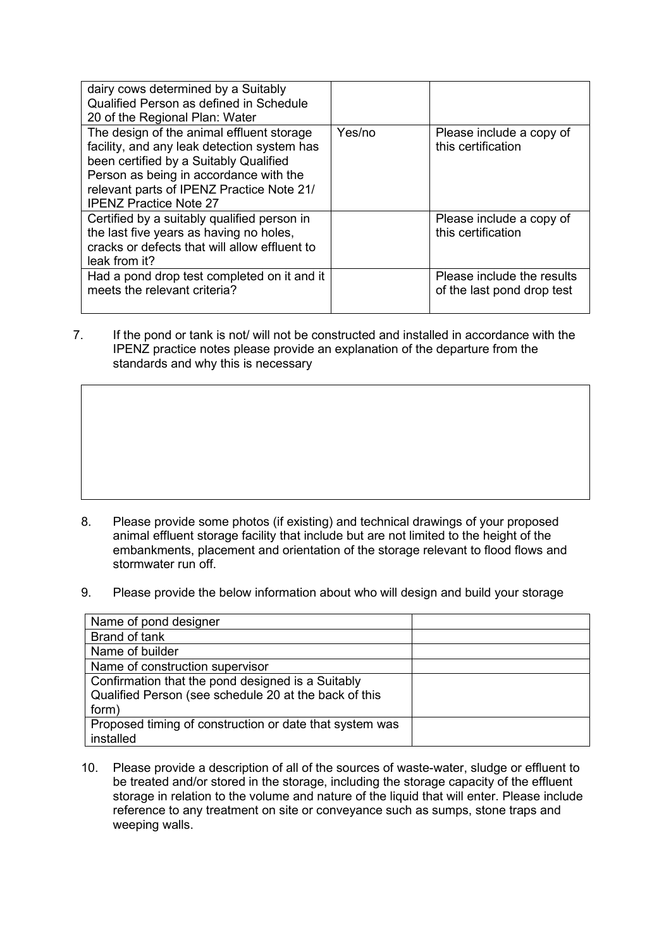| dairy cows determined by a Suitably<br>Qualified Person as defined in Schedule<br>20 of the Regional Plan: Water                                                                                                                                           |        |                                                          |
|------------------------------------------------------------------------------------------------------------------------------------------------------------------------------------------------------------------------------------------------------------|--------|----------------------------------------------------------|
| The design of the animal effluent storage<br>facility, and any leak detection system has<br>been certified by a Suitably Qualified<br>Person as being in accordance with the<br>relevant parts of IPENZ Practice Note 21/<br><b>IPENZ Practice Note 27</b> | Yes/no | Please include a copy of<br>this certification           |
| Certified by a suitably qualified person in<br>the last five years as having no holes,<br>cracks or defects that will allow effluent to<br>leak from it?                                                                                                   |        | Please include a copy of<br>this certification           |
| Had a pond drop test completed on it and it<br>meets the relevant criteria?                                                                                                                                                                                |        | Please include the results<br>of the last pond drop test |

7. If the pond or tank is not/ will not be constructed and installed in accordance with the IPENZ practice notes please provide an explanation of the departure from the standards and why this is necessary

- 8. Please provide some photos (if existing) and technical drawings of your proposed animal effluent storage facility that include but are not limited to the height of the embankments, placement and orientation of the storage relevant to flood flows and stormwater run off.
- 9. Please provide the below information about who will design and build your storage

| Name of pond designer                                   |  |
|---------------------------------------------------------|--|
| Brand of tank                                           |  |
| Name of builder                                         |  |
| Name of construction supervisor                         |  |
| Confirmation that the pond designed is a Suitably       |  |
| Qualified Person (see schedule 20 at the back of this   |  |
| form)                                                   |  |
| Proposed timing of construction or date that system was |  |
| installed                                               |  |

10. Please provide a description of all of the sources of waste-water, sludge or effluent to be treated and/or stored in the storage, including the storage capacity of the effluent storage in relation to the volume and nature of the liquid that will enter. Please include reference to any treatment on site or conveyance such as sumps, stone traps and weeping walls.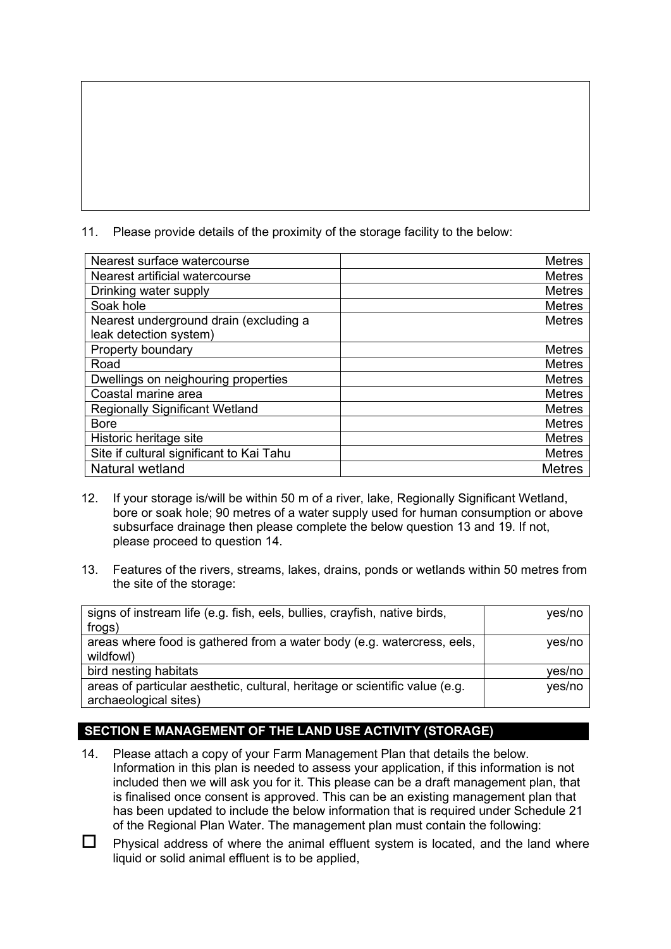11. Please provide details of the proximity of the storage facility to the below:

| Nearest surface watercourse              | <b>Metres</b> |
|------------------------------------------|---------------|
| Nearest artificial watercourse           | <b>Metres</b> |
| Drinking water supply                    | <b>Metres</b> |
| Soak hole                                | <b>Metres</b> |
| Nearest underground drain (excluding a   | <b>Metres</b> |
| leak detection system)                   |               |
| <b>Property boundary</b>                 | <b>Metres</b> |
| Road                                     | <b>Metres</b> |
| Dwellings on neighouring properties      | <b>Metres</b> |
| Coastal marine area                      | <b>Metres</b> |
| <b>Regionally Significant Wetland</b>    | <b>Metres</b> |
| <b>Bore</b>                              | <b>Metres</b> |
| Historic heritage site                   | <b>Metres</b> |
| Site if cultural significant to Kai Tahu | <b>Metres</b> |
| Natural wetland                          | <b>Metres</b> |

- 12. If your storage is/will be within 50 m of a river, lake, Regionally Significant Wetland, bore or soak hole; 90 metres of a water supply used for human consumption or above subsurface drainage then please complete the below question 13 and 19. If not, please proceed to question 14.
- 13. Features of the rivers, streams, lakes, drains, ponds or wetlands within 50 metres from the site of the storage:

| signs of instream life (e.g. fish, eels, bullies, crayfish, native birds,   | yes/no |
|-----------------------------------------------------------------------------|--------|
| frogs)                                                                      |        |
| areas where food is gathered from a water body (e.g. watercress, eels,      | yes/no |
| wildfowl)                                                                   |        |
| bird nesting habitats                                                       | ves/no |
| areas of particular aesthetic, cultural, heritage or scientific value (e.g. | yes/no |
| archaeological sites)                                                       |        |

# **SECTION E MANAGEMENT OF THE LAND USE ACTIVITY (STORAGE)**

- 14. Please attach a copy of your Farm Management Plan that details the below. Information in this plan is needed to assess your application, if this information is not included then we will ask you for it. This please can be a draft management plan, that is finalised once consent is approved. This can be an existing management plan that has been updated to include the below information that is required under Schedule 21 of the Regional Plan Water. The management plan must contain the following:
- $\Box$  Physical address of where the animal effluent system is located, and the land where liquid or solid animal effluent is to be applied,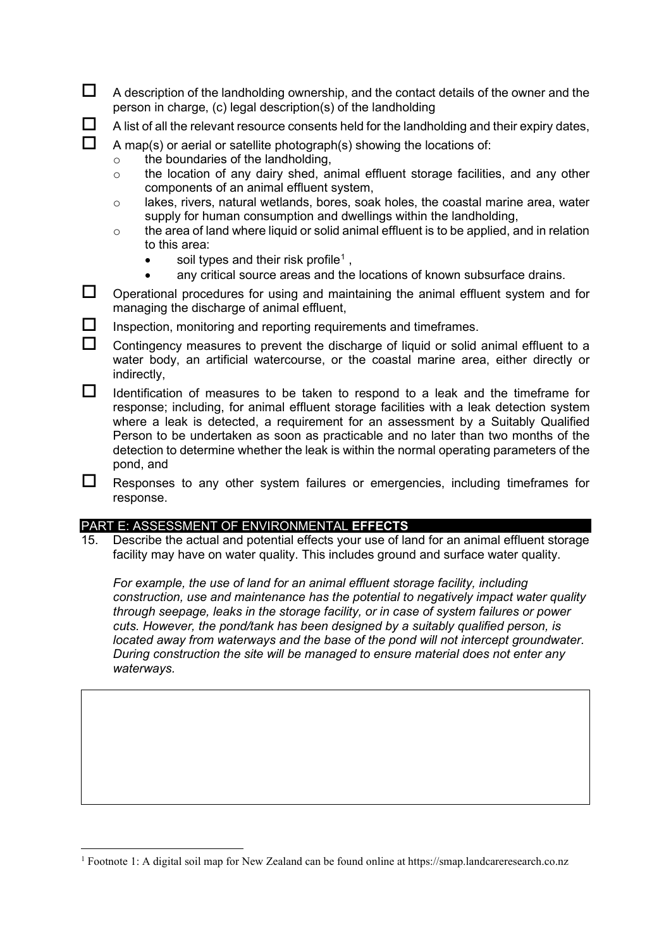- $\Box$  A description of the landholding ownership, and the contact details of the owner and the person in charge, (c) legal description(s) of the landholding
- $\Box$  A list of all the relevant resource consents held for the landholding and their expiry dates,

#### $\Box$  A map(s) or aerial or satellite photograph(s) showing the locations of:

- o the boundaries of the landholding,
- o the location of any dairy shed, animal effluent storage facilities, and any other components of an animal effluent system,
- o lakes, rivers, natural wetlands, bores, soak holes, the coastal marine area, water supply for human consumption and dwellings within the landholding,
- o the area of land where liquid or solid animal effluent is to be applied, and in relation to this area:
	- soil types and their risk profile<sup>[1](#page-4-0)</sup>,
		- any critical source areas and the locations of known subsurface drains.
- $\square$  Operational procedures for using and maintaining the animal effluent system and for managing the discharge of animal effluent,
- $\Box$  Inspection, monitoring and reporting requirements and timeframes.
- $\Box$  Contingency measures to prevent the discharge of liquid or solid animal effluent to a water body, an artificial watercourse, or the coastal marine area, either directly or indirectly,
- $\Box$  Identification of measures to be taken to respond to a leak and the timeframe for response; including, for animal effluent storage facilities with a leak detection system where a leak is detected, a requirement for an assessment by a Suitably Qualified Person to be undertaken as soon as practicable and no later than two months of the detection to determine whether the leak is within the normal operating parameters of the pond, and
- $\Box$  Responses to any other system failures or emergencies, including timeframes for response.

#### PART E: ASSESSMENT OF ENVIRONMENTAL **EFFECTS**

15. Describe the actual and potential effects your use of land for an animal effluent storage facility may have on water quality. This includes ground and surface water quality.

*For example, the use of land for an animal effluent storage facility, including construction, use and maintenance has the potential to negatively impact water quality through seepage, leaks in the storage facility, or in case of system failures or power cuts. However, the pond/tank has been designed by a suitably qualified person, is located away from waterways and the base of the pond will not intercept groundwater. During construction the site will be managed to ensure material does not enter any waterways.* 

<span id="page-4-0"></span><sup>&</sup>lt;sup>1</sup> Footnote 1: A digital soil map for New Zealand can be found online at https://smap.landcareresearch.co.nz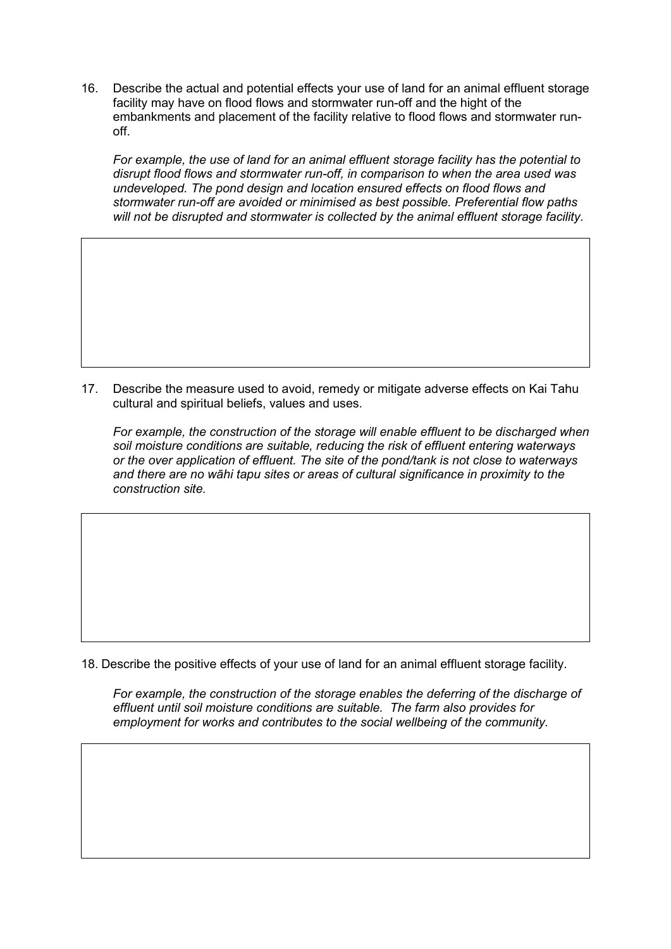16. Describe the actual and potential effects your use of land for an animal effluent storage facility may have on flood flows and stormwater run-off and the hight of the embankments and placement of the facility relative to flood flows and stormwater runoff.

*For example, the use of land for an animal effluent storage facility has the potential to disrupt flood flows and stormwater run-off, in comparison to when the area used was undeveloped. The pond design and location ensured effects on flood flows and stormwater run-off are avoided or minimised as best possible. Preferential flow paths will not be disrupted and stormwater is collected by the animal effluent storage facility.*

17. Describe the measure used to avoid, remedy or mitigate adverse effects on Kai Tahu cultural and spiritual beliefs, values and uses.

*For example, the construction of the storage will enable effluent to be discharged when soil moisture conditions are suitable, reducing the risk of effluent entering waterways or the over application of effluent. The site of the pond/tank is not close to waterways and there are no wāhi tapu sites or areas of cultural significance in proximity to the construction site.* 

18. Describe the positive effects of your use of land for an animal effluent storage facility.

*For example, the construction of the storage enables the deferring of the discharge of effluent until soil moisture conditions are suitable. The farm also provides for employment for works and contributes to the social wellbeing of the community.*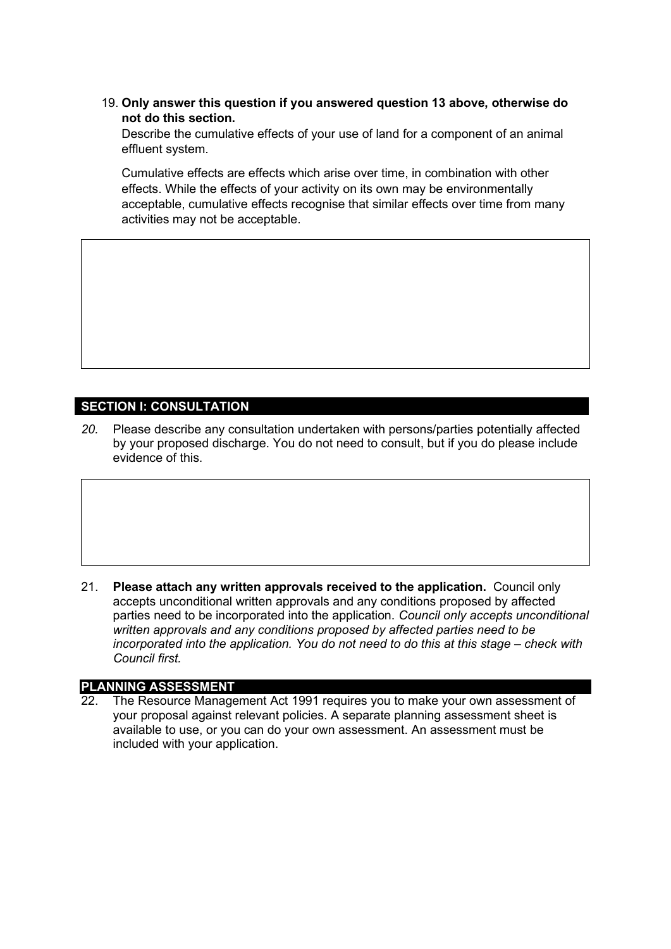19. **Only answer this question if you answered question 13 above, otherwise do not do this section.**

Describe the cumulative effects of your use of land for a component of an animal effluent system.

Cumulative effects are effects which arise over time, in combination with other effects. While the effects of your activity on its own may be environmentally acceptable, cumulative effects recognise that similar effects over time from many activities may not be acceptable.

#### **SECTION I: CONSULTATION**

*20.* Please describe any consultation undertaken with persons/parties potentially affected by your proposed discharge. You do not need to consult, but if you do please include evidence of this.

21. **Please attach any written approvals received to the application.** Council only accepts unconditional written approvals and any conditions proposed by affected parties need to be incorporated into the application. *Council only accepts unconditional written approvals and any conditions proposed by affected parties need to be incorporated into the application. You do not need to do this at this stage – check with Council first.*

#### **PLANNING ASSESSMENT**

22. The Resource Management Act 1991 requires you to make your own assessment of your proposal against relevant policies. A separate planning assessment sheet is available to use, or you can do your own assessment. An assessment must be included with your application.